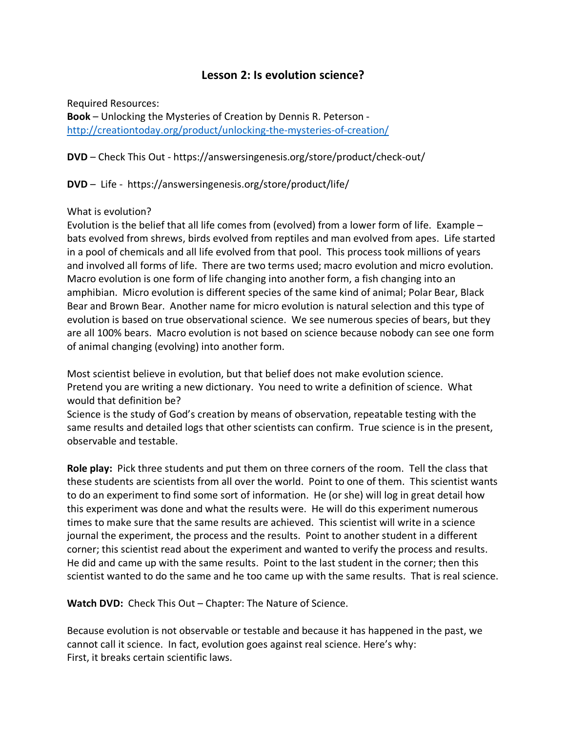# **Lesson 2: Is evolution science?**

Required Resources:

**Book** – Unlocking the Mysteries of Creation by Dennis R. Peterson http://creationtoday.org/product/unlocking-the-mysteries-of-creation/

**DVD** – Check This Out - https://answersingenesis.org/store/product/check-out/

**DVD** – Life - https://answersingenesis.org/store/product/life/

### What is evolution?

Evolution is the belief that all life comes from (evolved) from a lower form of life. Example – bats evolved from shrews, birds evolved from reptiles and man evolved from apes. Life started in a pool of chemicals and all life evolved from that pool. This process took millions of years and involved all forms of life. There are two terms used; macro evolution and micro evolution. Macro evolution is one form of life changing into another form, a fish changing into an amphibian. Micro evolution is different species of the same kind of animal; Polar Bear, Black Bear and Brown Bear. Another name for micro evolution is natural selection and this type of evolution is based on true observational science. We see numerous species of bears, but they are all 100% bears. Macro evolution is not based on science because nobody can see one form of animal changing (evolving) into another form.

Most scientist believe in evolution, but that belief does not make evolution science. Pretend you are writing a new dictionary. You need to write a definition of science. What would that definition be?

Science is the study of God's creation by means of observation, repeatable testing with the same results and detailed logs that other scientists can confirm. True science is in the present, observable and testable.

**Role play:** Pick three students and put them on three corners of the room. Tell the class that these students are scientists from all over the world. Point to one of them. This scientist wants to do an experiment to find some sort of information. He (or she) will log in great detail how this experiment was done and what the results were. He will do this experiment numerous times to make sure that the same results are achieved. This scientist will write in a science journal the experiment, the process and the results. Point to another student in a different corner; this scientist read about the experiment and wanted to verify the process and results. He did and came up with the same results. Point to the last student in the corner; then this scientist wanted to do the same and he too came up with the same results. That is real science.

**Watch DVD:** Check This Out – Chapter: The Nature of Science.

Because evolution is not observable or testable and because it has happened in the past, we cannot call it science. In fact, evolution goes against real science. Here's why: First, it breaks certain scientific laws.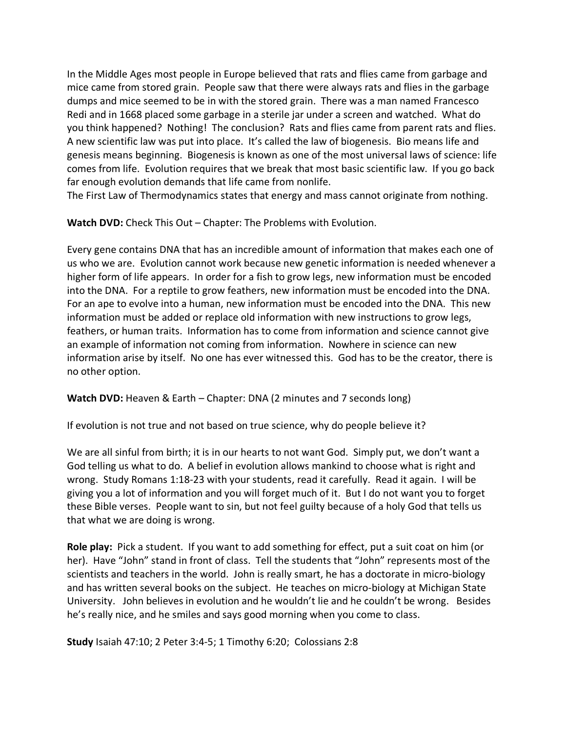In the Middle Ages most people in Europe believed that rats and flies came from garbage and mice came from stored grain. People saw that there were always rats and flies in the garbage dumps and mice seemed to be in with the stored grain. There was a man named Francesco Redi and in 1668 placed some garbage in a sterile jar under a screen and watched. What do you think happened? Nothing! The conclusion? Rats and flies came from parent rats and flies. A new scientific law was put into place. It's called the law of biogenesis. Bio means life and genesis means beginning. Biogenesis is known as one of the most universal laws of science: life comes from life. Evolution requires that we break that most basic scientific law. If you go back far enough evolution demands that life came from nonlife.

The First Law of Thermodynamics states that energy and mass cannot originate from nothing.

**Watch DVD:** Check This Out – Chapter: The Problems with Evolution.

Every gene contains DNA that has an incredible amount of information that makes each one of us who we are. Evolution cannot work because new genetic information is needed whenever a higher form of life appears. In order for a fish to grow legs, new information must be encoded into the DNA. For a reptile to grow feathers, new information must be encoded into the DNA. For an ape to evolve into a human, new information must be encoded into the DNA. This new information must be added or replace old information with new instructions to grow legs, feathers, or human traits. Information has to come from information and science cannot give an example of information not coming from information. Nowhere in science can new information arise by itself. No one has ever witnessed this. God has to be the creator, there is no other option.

**Watch DVD:** Heaven & Earth – Chapter: DNA (2 minutes and 7 seconds long)

If evolution is not true and not based on true science, why do people believe it?

We are all sinful from birth; it is in our hearts to not want God. Simply put, we don't want a God telling us what to do. A belief in evolution allows mankind to choose what is right and wrong. Study Romans 1:18-23 with your students, read it carefully. Read it again. I will be giving you a lot of information and you will forget much of it. But I do not want you to forget these Bible verses. People want to sin, but not feel guilty because of a holy God that tells us that what we are doing is wrong.

**Role play:** Pick a student. If you want to add something for effect, put a suit coat on him (or her). Have "John" stand in front of class. Tell the students that "John" represents most of the scientists and teachers in the world. John is really smart, he has a doctorate in micro-biology and has written several books on the subject. He teaches on micro-biology at Michigan State University. John believes in evolution and he wouldn't lie and he couldn't be wrong. Besides he's really nice, and he smiles and says good morning when you come to class.

**Study** Isaiah 47:10; 2 Peter 3:4-5; 1 Timothy 6:20; Colossians 2:8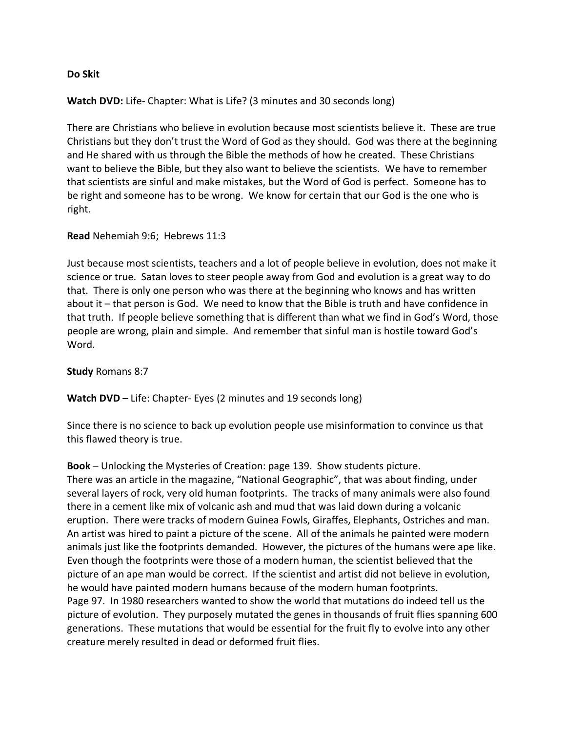#### **Do Skit**

#### **Watch DVD:** Life- Chapter: What is Life? (3 minutes and 30 seconds long)

There are Christians who believe in evolution because most scientists believe it. These are true Christians but they don't trust the Word of God as they should. God was there at the beginning and He shared with us through the Bible the methods of how he created. These Christians want to believe the Bible, but they also want to believe the scientists. We have to remember that scientists are sinful and make mistakes, but the Word of God is perfect. Someone has to be right and someone has to be wrong. We know for certain that our God is the one who is right.

#### **Read** Nehemiah 9:6; Hebrews 11:3

Just because most scientists, teachers and a lot of people believe in evolution, does not make it science or true. Satan loves to steer people away from God and evolution is a great way to do that. There is only one person who was there at the beginning who knows and has written about it – that person is God. We need to know that the Bible is truth and have confidence in that truth. If people believe something that is different than what we find in God's Word, those people are wrong, plain and simple. And remember that sinful man is hostile toward God's Word.

**Study** Romans 8:7

**Watch DVD** – Life: Chapter- Eyes (2 minutes and 19 seconds long)

Since there is no science to back up evolution people use misinformation to convince us that this flawed theory is true.

**Book** – Unlocking the Mysteries of Creation: page 139. Show students picture. There was an article in the magazine, "National Geographic", that was about finding, under several layers of rock, very old human footprints. The tracks of many animals were also found there in a cement like mix of volcanic ash and mud that was laid down during a volcanic eruption. There were tracks of modern Guinea Fowls, Giraffes, Elephants, Ostriches and man. An artist was hired to paint a picture of the scene. All of the animals he painted were modern animals just like the footprints demanded. However, the pictures of the humans were ape like. Even though the footprints were those of a modern human, the scientist believed that the picture of an ape man would be correct. If the scientist and artist did not believe in evolution, he would have painted modern humans because of the modern human footprints. Page 97. In 1980 researchers wanted to show the world that mutations do indeed tell us the picture of evolution. They purposely mutated the genes in thousands of fruit flies spanning 600 generations. These mutations that would be essential for the fruit fly to evolve into any other creature merely resulted in dead or deformed fruit flies.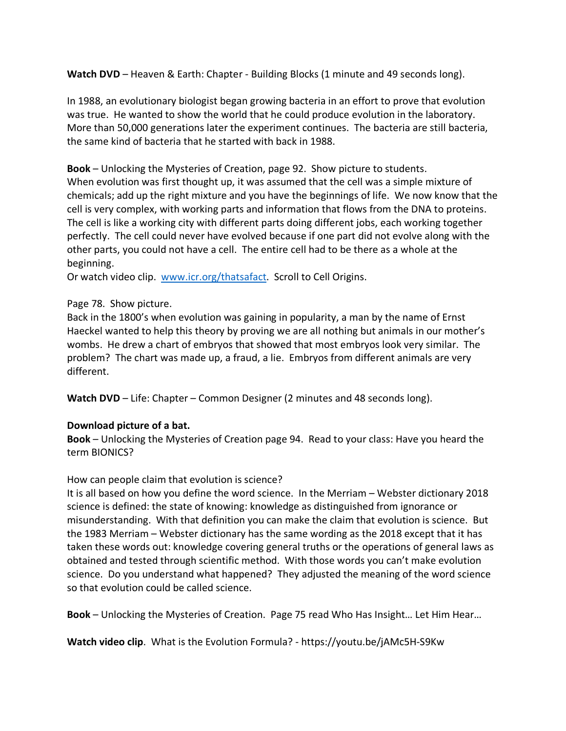Watch DVD – Heaven & Earth: Chapter - Building Blocks (1 minute and 49 seconds long).

In 1988, an evolutionary biologist began growing bacteria in an effort to prove that evolution was true. He wanted to show the world that he could produce evolution in the laboratory. More than 50,000 generations later the experiment continues. The bacteria are still bacteria, the same kind of bacteria that he started with back in 1988.

**Book** – Unlocking the Mysteries of Creation, page 92. Show picture to students. When evolution was first thought up, it was assumed that the cell was a simple mixture of chemicals; add up the right mixture and you have the beginnings of life. We now know that the cell is very complex, with working parts and information that flows from the DNA to proteins. The cell is like a working city with different parts doing different jobs, each working together perfectly. The cell could never have evolved because if one part did not evolve along with the other parts, you could not have a cell. The entire cell had to be there as a whole at the beginning.

Or watch video clip. www.icr.org/thatsafact. Scroll to Cell Origins.

#### Page 78. Show picture.

Back in the 1800's when evolution was gaining in popularity, a man by the name of Ernst Haeckel wanted to help this theory by proving we are all nothing but animals in our mother's wombs. He drew a chart of embryos that showed that most embryos look very similar. The problem? The chart was made up, a fraud, a lie. Embryos from different animals are very different.

**Watch DVD** – Life: Chapter – Common Designer (2 minutes and 48 seconds long).

# **Download picture of a bat.**

**Book** – Unlocking the Mysteries of Creation page 94. Read to your class: Have you heard the term BIONICS?

# How can people claim that evolution is science?

It is all based on how you define the word science. In the Merriam – Webster dictionary 2018 science is defined: the state of knowing: knowledge as distinguished from ignorance or misunderstanding. With that definition you can make the claim that evolution is science. But the 1983 Merriam – Webster dictionary has the same wording as the 2018 except that it has taken these words out: knowledge covering general truths or the operations of general laws as obtained and tested through scientific method. With those words you can't make evolution science. Do you understand what happened? They adjusted the meaning of the word science so that evolution could be called science.

**Book** – Unlocking the Mysteries of Creation. Page 75 read Who Has Insight… Let Him Hear…

**Watch video clip**. What is the Evolution Formula? - https://youtu.be/jAMc5H-S9Kw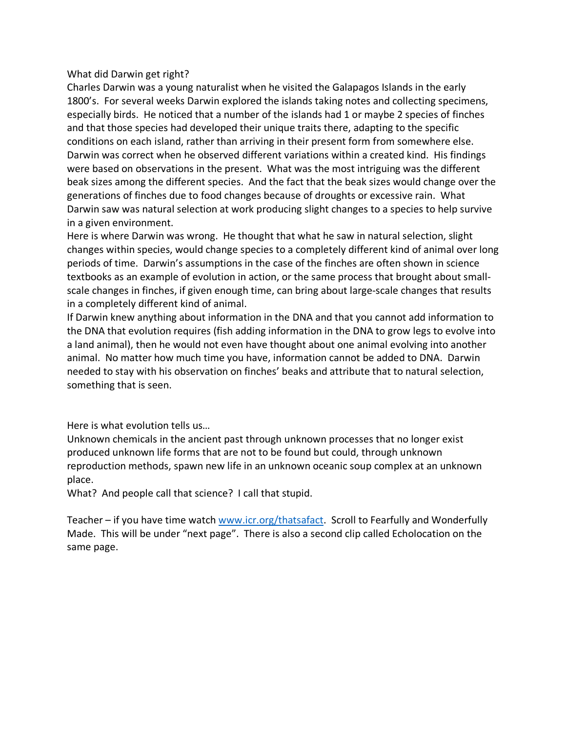### What did Darwin get right?

Charles Darwin was a young naturalist when he visited the Galapagos Islands in the early 1800's. For several weeks Darwin explored the islands taking notes and collecting specimens, especially birds. He noticed that a number of the islands had 1 or maybe 2 species of finches and that those species had developed their unique traits there, adapting to the specific conditions on each island, rather than arriving in their present form from somewhere else. Darwin was correct when he observed different variations within a created kind. His findings were based on observations in the present. What was the most intriguing was the different beak sizes among the different species. And the fact that the beak sizes would change over the generations of finches due to food changes because of droughts or excessive rain. What Darwin saw was natural selection at work producing slight changes to a species to help survive in a given environment.

Here is where Darwin was wrong. He thought that what he saw in natural selection, slight changes within species, would change species to a completely different kind of animal over long periods of time. Darwin's assumptions in the case of the finches are often shown in science textbooks as an example of evolution in action, or the same process that brought about smallscale changes in finches, if given enough time, can bring about large-scale changes that results in a completely different kind of animal.

If Darwin knew anything about information in the DNA and that you cannot add information to the DNA that evolution requires (fish adding information in the DNA to grow legs to evolve into a land animal), then he would not even have thought about one animal evolving into another animal. No matter how much time you have, information cannot be added to DNA. Darwin needed to stay with his observation on finches' beaks and attribute that to natural selection, something that is seen.

Here is what evolution tells us…

Unknown chemicals in the ancient past through unknown processes that no longer exist produced unknown life forms that are not to be found but could, through unknown reproduction methods, spawn new life in an unknown oceanic soup complex at an unknown place.

What? And people call that science? I call that stupid.

Teacher – if you have time watch www.icr.org/thatsafact. Scroll to Fearfully and Wonderfully Made. This will be under "next page". There is also a second clip called Echolocation on the same page.